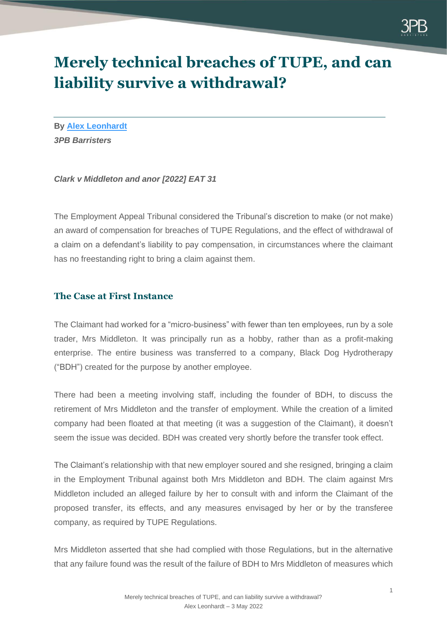

# **Merely technical breaches of TUPE, and can liability survive a withdrawal?**

**By [Alex Leonhardt](https://www.3pb.co.uk/barristers/alex-leonhardt/)** *3PB Barristers*

*Clark v Middleton and anor [2022] EAT 31*

The Employment Appeal Tribunal considered the Tribunal's discretion to make (or not make) an award of compensation for breaches of TUPE Regulations, and the effect of withdrawal of a claim on a defendant's liability to pay compensation, in circumstances where the claimant has no freestanding right to bring a claim against them.

### **The Case at First Instance**

The Claimant had worked for a "micro-business" with fewer than ten employees, run by a sole trader, Mrs Middleton. It was principally run as a hobby, rather than as a profit-making enterprise. The entire business was transferred to a company, Black Dog Hydrotherapy ("BDH") created for the purpose by another employee.

There had been a meeting involving staff, including the founder of BDH, to discuss the retirement of Mrs Middleton and the transfer of employment. While the creation of a limited company had been floated at that meeting (it was a suggestion of the Claimant), it doesn't seem the issue was decided. BDH was created very shortly before the transfer took effect.

The Claimant's relationship with that new employer soured and she resigned, bringing a claim in the Employment Tribunal against both Mrs Middleton and BDH. The claim against Mrs Middleton included an alleged failure by her to consult with and inform the Claimant of the proposed transfer, its effects, and any measures envisaged by her or by the transferee company, as required by TUPE Regulations.

Mrs Middleton asserted that she had complied with those Regulations, but in the alternative that any failure found was the result of the failure of BDH to Mrs Middleton of measures which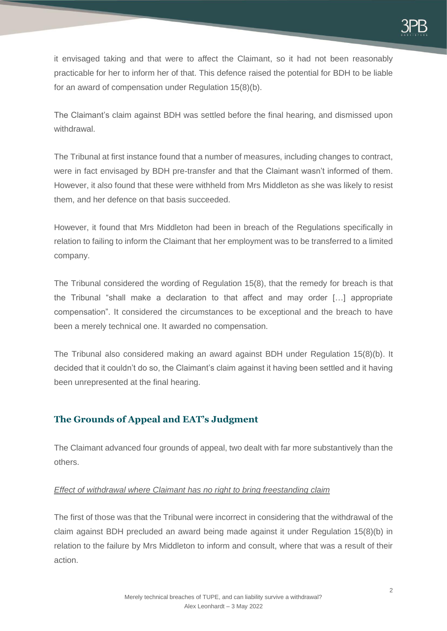it envisaged taking and that were to affect the Claimant, so it had not been reasonably practicable for her to inform her of that. This defence raised the potential for BDH to be liable for an award of compensation under Regulation 15(8)(b).

The Claimant's claim against BDH was settled before the final hearing, and dismissed upon withdrawal.

The Tribunal at first instance found that a number of measures, including changes to contract, were in fact envisaged by BDH pre-transfer and that the Claimant wasn't informed of them. However, it also found that these were withheld from Mrs Middleton as she was likely to resist them, and her defence on that basis succeeded.

However, it found that Mrs Middleton had been in breach of the Regulations specifically in relation to failing to inform the Claimant that her employment was to be transferred to a limited company.

The Tribunal considered the wording of Regulation 15(8), that the remedy for breach is that the Tribunal "shall make a declaration to that affect and may order […] appropriate compensation". It considered the circumstances to be exceptional and the breach to have been a merely technical one. It awarded no compensation.

The Tribunal also considered making an award against BDH under Regulation 15(8)(b). It decided that it couldn't do so, the Claimant's claim against it having been settled and it having been unrepresented at the final hearing.

## **The Grounds of Appeal and EAT's Judgment**

The Claimant advanced four grounds of appeal, two dealt with far more substantively than the others.

### *Effect of withdrawal where Claimant has no right to bring freestanding claim*

The first of those was that the Tribunal were incorrect in considering that the withdrawal of the claim against BDH precluded an award being made against it under Regulation 15(8)(b) in relation to the failure by Mrs Middleton to inform and consult, where that was a result of their action.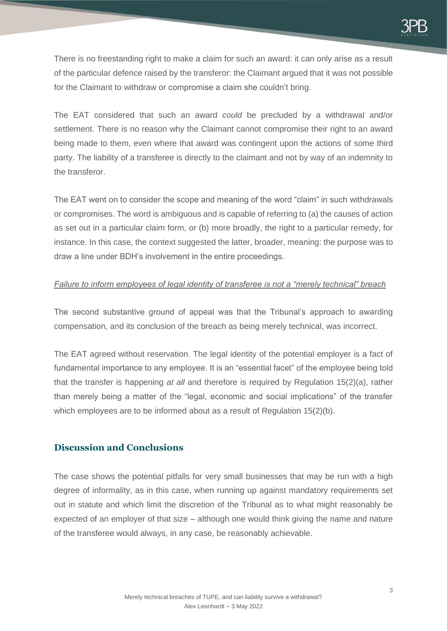There is no freestanding right to make a claim for such an award: it can only arise as a result of the particular defence raised by the transferor: the Claimant argued that it was not possible for the Claimant to withdraw or compromise a claim she couldn't bring.

The EAT considered that such an award *could* be precluded by a withdrawal and/or settlement. There is no reason why the Claimant cannot compromise their right to an award being made to them, even where that award was contingent upon the actions of some third party. The liability of a transferee is directly to the claimant and not by way of an indemnity to the transferor.

The EAT went on to consider the scope and meaning of the word "claim" in such withdrawals or compromises. The word is ambiguous and is capable of referring to (a) the causes of action as set out in a particular claim form, or (b) more broadly, the right to a particular remedy, for instance. In this case, the context suggested the latter, broader, meaning: the purpose was to draw a line under BDH's involvement in the entire proceedings.

#### *Failure to inform employees of legal identity of transferee is not a "merely technical" breach*

The second substantive ground of appeal was that the Tribunal's approach to awarding compensation, and its conclusion of the breach as being merely technical, was incorrect.

The EAT agreed without reservation. The legal identity of the potential employer is a fact of fundamental importance to any employee. It is an "essential facet" of the employee being told that the transfer is happening *at all* and therefore is required by Regulation 15(2)(a), rather than merely being a matter of the "legal, economic and social implications" of the transfer which employees are to be informed about as a result of Regulation 15(2)(b).

### **Discussion and Conclusions**

The case shows the potential pitfalls for very small businesses that may be run with a high degree of informality, as in this case, when running up against mandatory requirements set out in statute and which limit the discretion of the Tribunal as to what might reasonably be expected of an employer of that size – although one would think giving the name and nature of the transferee would always, in any case, be reasonably achievable.